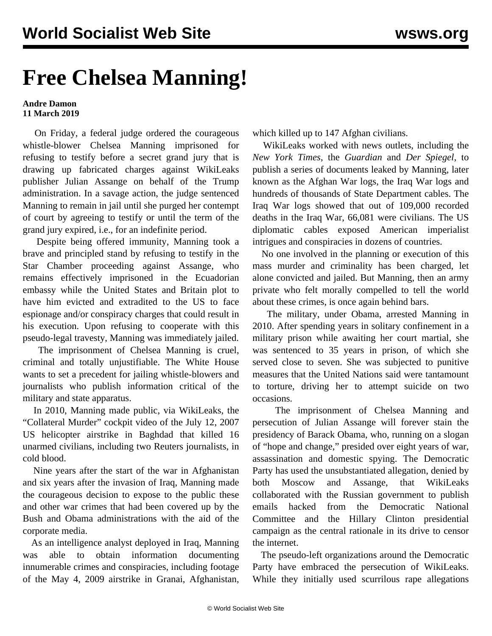## **Free Chelsea Manning!**

## **Andre Damon 11 March 2019**

 On Friday, a federal judge ordered the courageous whistle-blower Chelsea Manning imprisoned for refusing to testify before a secret grand jury that is drawing up fabricated charges against WikiLeaks publisher Julian Assange on behalf of the Trump administration. In a savage action, the judge sentenced Manning to remain in jail until she purged her contempt of court by agreeing to testify or until the term of the grand jury expired, i.e., for an indefinite period.

 Despite being offered immunity, Manning took a brave and principled stand by refusing to testify in the Star Chamber proceeding against Assange, who remains effectively imprisoned in the Ecuadorian embassy while the United States and Britain plot to have him evicted and extradited to the US to face espionage and/or conspiracy charges that could result in his execution. Upon refusing to cooperate with this pseudo-legal travesty, Manning was immediately jailed.

 The imprisonment of Chelsea Manning is cruel, criminal and totally unjustifiable. The White House wants to set a precedent for jailing whistle-blowers and journalists who publish information critical of the military and state apparatus.

 In 2010, Manning made public, via WikiLeaks, the "Collateral Murder" cockpit video of the July 12, 2007 US helicopter airstrike in Baghdad that killed 16 unarmed civilians, including two Reuters journalists, in cold blood.

 Nine years after the start of the war in Afghanistan and six years after the invasion of Iraq, Manning made the courageous decision to expose to the public these and other war crimes that had been covered up by the Bush and Obama administrations with the aid of the corporate media.

 As an intelligence analyst deployed in Iraq, Manning was able to obtain information documenting innumerable crimes and conspiracies, including footage of the May 4, 2009 airstrike in Granai, Afghanistan, which killed up to 147 Afghan civilians.

 WikiLeaks worked with news outlets, including the *New York Times*, the *Guardian* and *Der Spiegel*, to publish a series of documents leaked by Manning, later known as the Afghan War logs, the Iraq War logs and hundreds of thousands of State Department cables. The Iraq War logs showed that out of 109,000 recorded deaths in the Iraq War, 66,081 were civilians. The US diplomatic cables exposed American imperialist intrigues and conspiracies in dozens of countries.

 No one involved in the planning or execution of this mass murder and criminality has been charged, let alone convicted and jailed. But Manning, then an army private who felt morally compelled to tell the world about these crimes, is once again behind bars.

 The military, under Obama, arrested Manning in 2010. After spending years in solitary confinement in a military prison while awaiting her court martial, she was sentenced to 35 years in prison, of which she served close to seven. She was subjected to punitive measures that the United Nations said were tantamount to torture, driving her to attempt suicide on two occasions.

 The imprisonment of Chelsea Manning and persecution of Julian Assange will forever stain the presidency of Barack Obama, who, running on a slogan of "hope and change," presided over eight years of war, assassination and domestic spying. The Democratic Party has used the unsubstantiated allegation, denied by both Moscow and Assange, that WikiLeaks collaborated with the Russian government to publish emails hacked from the Democratic National Committee and the Hillary Clinton presidential campaign as the central rationale in its drive to censor the internet.

 The pseudo-left organizations around the Democratic Party have embraced the persecution of WikiLeaks. While they initially used scurrilous rape allegations